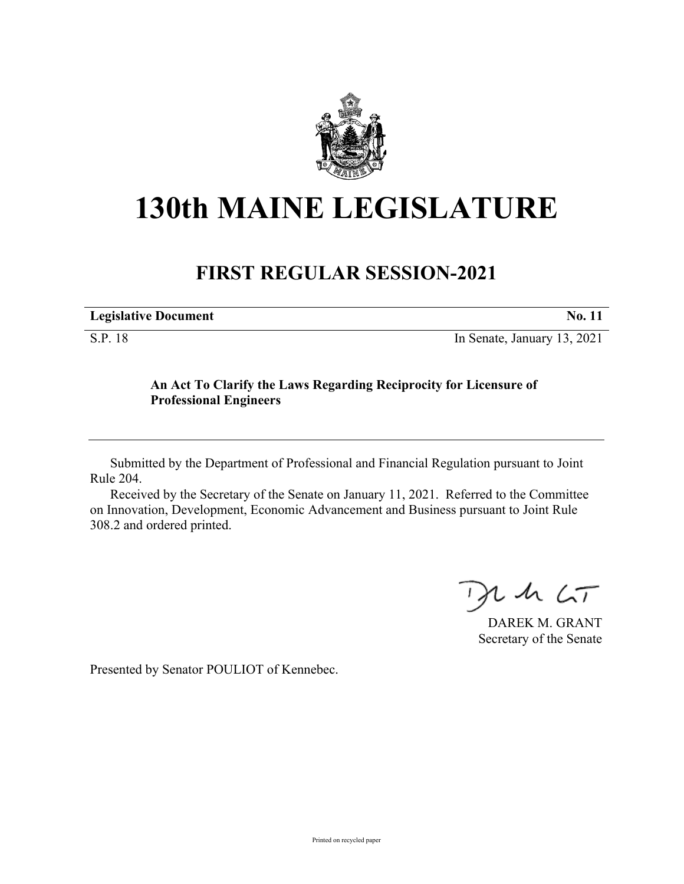

## **130th MAINE LEGISLATURE**

## **FIRST REGULAR SESSION-2021**

| <b>Legislative Document</b> | <b>No. 11</b>               |
|-----------------------------|-----------------------------|
| S.P. 18                     | In Senate, January 13, 2021 |

## **An Act To Clarify the Laws Regarding Reciprocity for Licensure of Professional Engineers**

Submitted by the Department of Professional and Financial Regulation pursuant to Joint Rule 204.

Received by the Secretary of the Senate on January 11, 2021. Referred to the Committee on Innovation, Development, Economic Advancement and Business pursuant to Joint Rule 308.2 and ordered printed.

 $125$ 

DAREK M. GRANT Secretary of the Senate

Presented by Senator POULIOT of Kennebec.